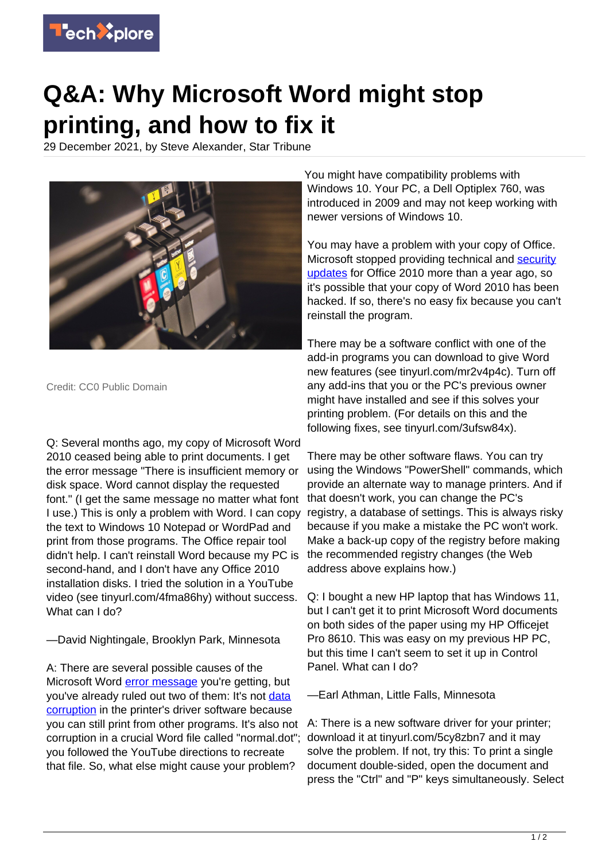

## **Q&A: Why Microsoft Word might stop printing, and how to fix it**

29 December 2021, by Steve Alexander, Star Tribune



Credit: CC0 Public Domain

Q: Several months ago, my copy of Microsoft Word 2010 ceased being able to print documents. I get the error message "There is insufficient memory or disk space. Word cannot display the requested font." (I get the same message no matter what font I use.) This is only a problem with Word. I can copy the text to Windows 10 Notepad or WordPad and print from those programs. The Office repair tool didn't help. I can't reinstall Word because my PC is second-hand, and I don't have any Office 2010 installation disks. I tried the solution in a YouTube video (see tinyurl.com/4fma86hy) without success. What can I do?

## —David Nightingale, Brooklyn Park, Minnesota

A: There are several possible causes of the Microsoft Word **error message** you're getting, but you've already ruled out two of them: It's not [data](https://techxplore.com/tags/data+corruption/) [corruption](https://techxplore.com/tags/data+corruption/) in the printer's driver software because you can still print from other programs. It's also not corruption in a crucial Word file called "normal.dot"; you followed the YouTube directions to recreate that file. So, what else might cause your problem?

You might have compatibility problems with Windows 10. Your PC, a Dell Optiplex 760, was introduced in 2009 and may not keep working with newer versions of Windows 10.

You may have a problem with your copy of Office. Microsoft stopped providing technical and [security](https://techxplore.com/tags/security+updates/) [updates](https://techxplore.com/tags/security+updates/) for Office 2010 more than a year ago, so it's possible that your copy of Word 2010 has been hacked. If so, there's no easy fix because you can't reinstall the program.

There may be a software conflict with one of the add-in programs you can download to give Word new features (see tinyurl.com/mr2v4p4c). Turn off any add-ins that you or the PC's previous owner might have installed and see if this solves your printing problem. (For details on this and the following fixes, see tinyurl.com/3ufsw84x).

There may be other software flaws. You can try using the Windows "PowerShell" commands, which provide an alternate way to manage printers. And if that doesn't work, you can change the PC's registry, a database of settings. This is always risky because if you make a mistake the PC won't work. Make a back-up copy of the registry before making the recommended registry changes (the Web address above explains how.)

Q: I bought a new HP laptop that has Windows 11, but I can't get it to print Microsoft Word documents on both sides of the paper using my HP Officejet Pro 8610. This was easy on my previous HP PC, but this time I can't seem to set it up in Control Panel. What can I do?

—Earl Athman, Little Falls, Minnesota

A: There is a new software driver for your printer; download it at tinyurl.com/5cy8zbn7 and it may solve the problem. If not, try this: To print a single document double-sided, open the document and press the "Ctrl" and "P" keys simultaneously. Select